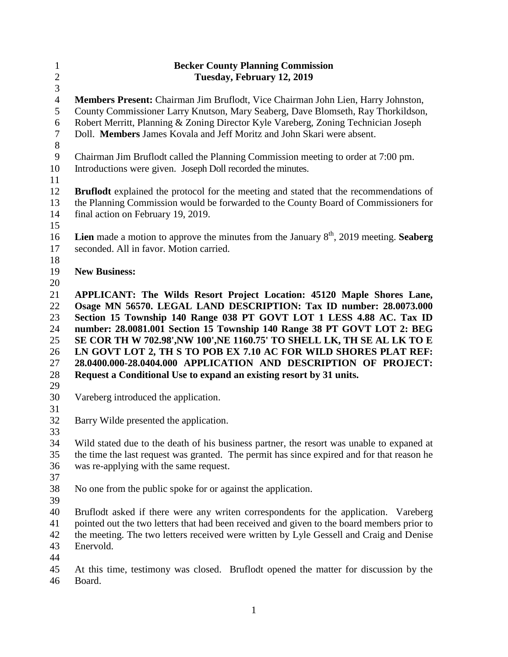| $\mathbf{1}$   | <b>Becker County Planning Commission</b>                                                        |
|----------------|-------------------------------------------------------------------------------------------------|
| $\sqrt{2}$     | Tuesday, February 12, 2019                                                                      |
| $\mathfrak{Z}$ |                                                                                                 |
| $\overline{4}$ | Members Present: Chairman Jim Bruflodt, Vice Chairman John Lien, Harry Johnston,                |
| 5              | County Commissioner Larry Knutson, Mary Seaberg, Dave Blomseth, Ray Thorkildson,                |
| 6              | Robert Merritt, Planning & Zoning Director Kyle Vareberg, Zoning Technician Joseph              |
| 7<br>$8\,$     | Doll. Members James Kovala and Jeff Moritz and John Skari were absent.                          |
| $\overline{9}$ | Chairman Jim Bruflodt called the Planning Commission meeting to order at 7:00 pm.               |
| 10<br>11       | Introductions were given. Joseph Doll recorded the minutes.                                     |
| 12             | <b>Bruflodt</b> explained the protocol for the meeting and stated that the recommendations of   |
| 13             | the Planning Commission would be forwarded to the County Board of Commissioners for             |
| 14             | final action on February 19, 2019.                                                              |
| 15             |                                                                                                 |
| 16             | <b>Lien</b> made a motion to approve the minutes from the January $8th$ , 2019 meeting. Seaberg |
| 17             | seconded. All in favor. Motion carried.                                                         |
| 18             |                                                                                                 |
| 19             | <b>New Business:</b>                                                                            |
| 20             |                                                                                                 |
| 21             | APPLICANT: The Wilds Resort Project Location: 45120 Maple Shores Lane,                          |
| 22             | Osage MN 56570. LEGAL LAND DESCRIPTION: Tax ID number: 28.0073.000                              |
| 23             | Section 15 Township 140 Range 038 PT GOVT LOT 1 LESS 4.88 AC. Tax ID                            |
| 24             | number: 28.0081.001 Section 15 Township 140 Range 38 PT GOVT LOT 2: BEG                         |
| 25             | SE COR TH W 702.98', NW 100', NE 1160.75' TO SHELL LK, TH SE AL LK TO E                         |
| 26             | LN GOVT LOT 2, TH S TO POB EX 7.10 AC FOR WILD SHORES PLAT REF:                                 |
| 27             | 28.0400.000-28.0404.000 APPLICATION AND DESCRIPTION OF PROJECT:                                 |
| 28             | Request a Conditional Use to expand an existing resort by 31 units.                             |
| 29<br>30       | Vareberg introduced the application.                                                            |
| 31             |                                                                                                 |
| 32             | Barry Wilde presented the application.                                                          |
| 33             |                                                                                                 |
| 34             | Wild stated due to the death of his business partner, the resort was unable to expaned at       |
| 35             | the time the last request was granted. The permit has since expired and for that reason he      |
| 36             | was re-applying with the same request.                                                          |
| 37             |                                                                                                 |
| 38             | No one from the public spoke for or against the application.                                    |
| 39             |                                                                                                 |
| 40             | Bruflodt asked if there were any writen correspondents for the application. Vareberg            |
| 41             | pointed out the two letters that had been received and given to the board members prior to      |
| 42             | the meeting. The two letters received were written by Lyle Gessell and Craig and Denise         |
| 43             | Enervold.                                                                                       |
| 44             |                                                                                                 |
| 45             | At this time, testimony was closed. Bruflodt opened the matter for discussion by the            |
| 46             | Board.                                                                                          |